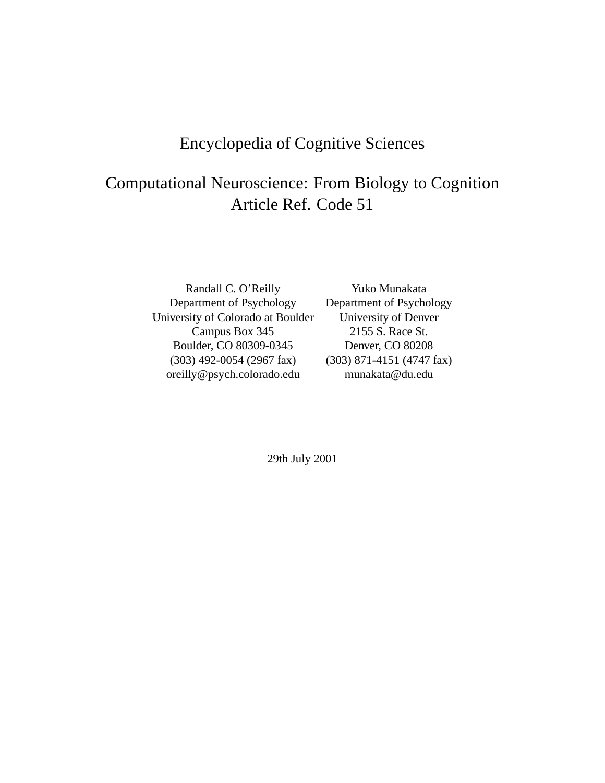# Encyclopedia of Cognitive Sciences

# Computational Neuroscience: From Biology to Cognition Article Ref. Code 51

Randall C. O'Reilly Yuko Munakata Department of Psychology<br>
Versity of Colorado at Boulder<br>
University of Denver University of Colorado at Boulder Campus Box 345 2155 S. Race St. Boulder, CO 80309-0345 Denver, CO 80208 (303) 492-0054 (2967 fax) (303) 871-4151 (4747 fax) oreilly@psych.colorado.edu munakata@du.edu

29th July 2001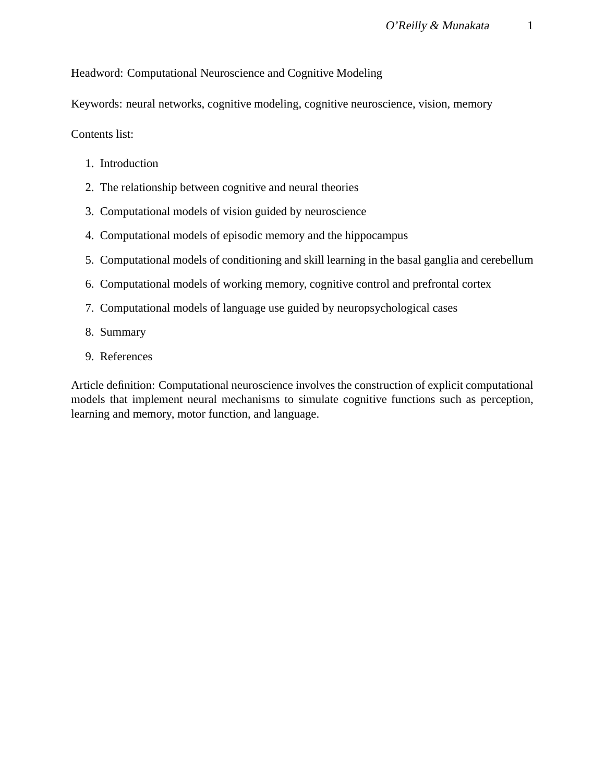Headword: Computational Neuroscience and Cognitive Modeling

Keywords: neural networks, cognitive modeling, cognitive neuroscience, vision, memory

Contents list:

- 1. Introduction
- 2. The relationship between cognitive and neural theories
- 3. Computational models of vision guided by neuroscience
- 4. Computational models of episodic memory and the hippocampus
- 5. Computational models of conditioning and skill learning in the basal ganglia and cerebellum
- 6. Computational models of working memory, cognitive control and prefrontal cortex
- 7. Computational models of language use guided by neuropsychological cases
- 8. Summary
- 9. References

Article definition: Computational neuroscience involves the construction of explicit computational models that implement neural mechanisms to simulate cognitive functions such as perception, learning and memory, motor function, and language.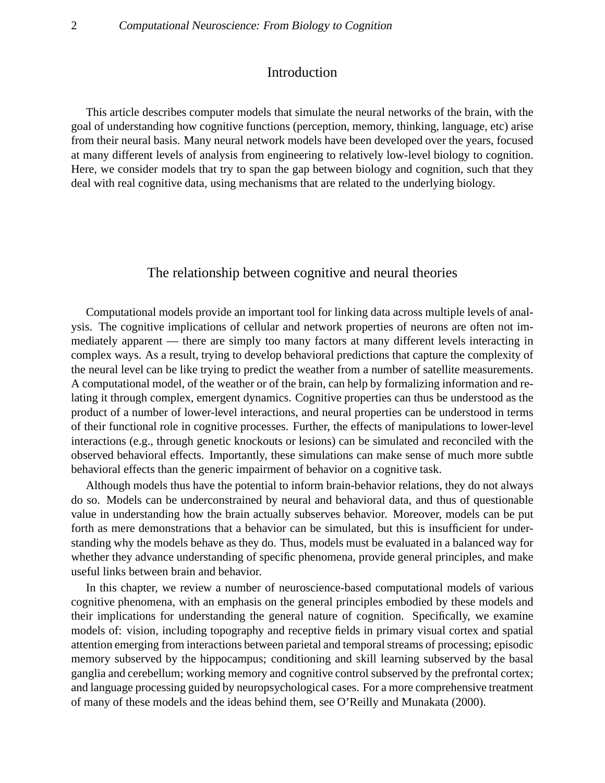### Introduction

This article describes computer models that simulate the neural networks of the brain, with the goal of understanding how cognitive functions (perception, memory, thinking, language, etc) arise from their neural basis. Many neural network models have been developed over the years, focused at many different levels of analysis from engineering to relatively low-level biology to cognition. Here, we consider models that try to span the gap between biology and cognition, such that they deal with real cognitive data, using mechanisms that are related to the underlying biology.

#### The relationship between cognitive and neural theories

Computational models provide an important tool for linking data across multiple levels of analysis. The cognitive implications of cellular and network properties of neurons are often not immediately apparent — there are simply too many factors at many different levels interacting in complex ways. As a result, trying to develop behavioral predictions that capture the complexity of the neural level can be like trying to predict the weather from a number of satellite measurements. A computational model, of the weather or of the brain, can help by formalizing information and relating it through complex, emergent dynamics. Cognitive properties can thus be understood as the product of a number of lower-level interactions, and neural properties can be understood in terms of their functional role in cognitive processes. Further, the effects of manipulations to lower-level interactions (e.g., through genetic knockouts or lesions) can be simulated and reconciled with the observed behavioral effects. Importantly, these simulations can make sense of much more subtle behavioral effects than the generic impairment of behavior on a cognitive task.

Although models thus have the potential to inform brain-behavior relations, they do not always do so. Models can be underconstrained by neural and behavioral data, and thus of questionable value in understanding how the brain actually subserves behavior. Moreover, models can be put forth as mere demonstrations that a behavior can be simulated, but this is insufficient for understanding why the models behave as they do. Thus, models must be evaluated in a balanced way for whether they advance understanding of specific phenomena, provide general principles, and make useful links between brain and behavior.

In this chapter, we review a number of neuroscience-based computational models of various cognitive phenomena, with an emphasis on the general principles embodied by these models and their implications for understanding the general nature of cognition. Specifically, we examine models of: vision, including topography and receptive fields in primary visual cortex and spatial attention emerging from interactions between parietal and temporal streams of processing; episodic memory subserved by the hippocampus; conditioning and skill learning subserved by the basal ganglia and cerebellum; working memory and cognitive control subserved by the prefrontal cortex; and language processing guided by neuropsychological cases. For a more comprehensive treatment of many of these models and the ideas behind them, see O'Reilly and Munakata (2000).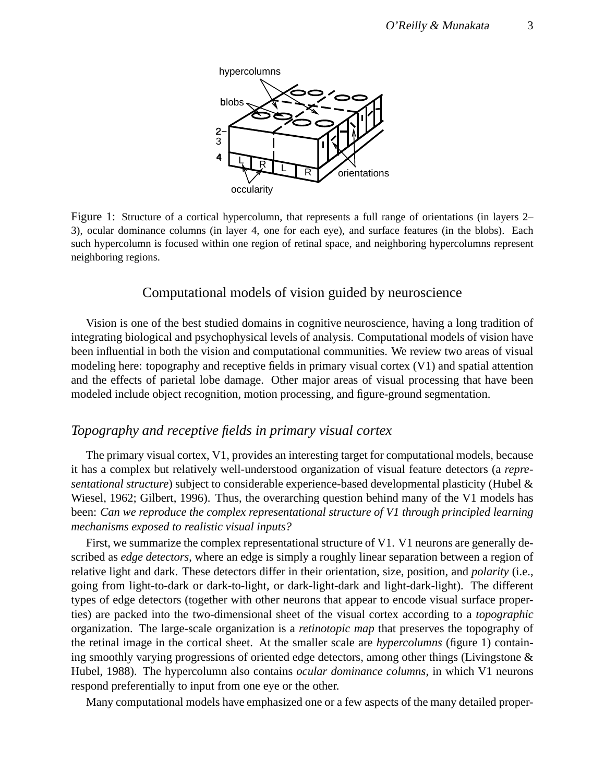

Figure 1: Structure of a cortical hypercolumn, that represents a full range of orientations (in layers 2– 3), ocular dominance columns (in layer 4, one for each eye), and surface features (in the blobs). Each such hypercolumn is focused within one region of retinal space, and neighboring hypercolumns represent neighboring regions.

#### Computational models of vision guided by neuroscience

Vision is one of the best studied domains in cognitive neuroscience, having a long tradition of integrating biological and psychophysical levels of analysis. Computational models of vision have been influential in both the vision and computational communities. We review two areas of visual modeling here: topography and receptive fields in primary visual cortex (V1) and spatial attention and the effects of parietal lobe damage. Other major areas of visual processing that have been modeled include object recognition, motion processing, and figure-ground segmentation.

### *Topography and receptive fields in primary visual cortex*

The primary visual cortex, V1, provides an interesting target for computational models, because it has a complex but relatively well-understood organization of visual feature detectors (a *representational structure*) subject to considerable experience-based developmental plasticity (Hubel & Wiesel, 1962; Gilbert, 1996). Thus, the overarching question behind many of the V1 models has been: *Can we reproduce the complex representational structure of V1 through principled learning mechanisms exposed to realistic visual inputs?*

First, we summarize the complex representational structure of V1. V1 neurons are generally described as *edge detectors*, where an edge is simply a roughly linear separation between a region of relative light and dark. These detectors differ in their orientation, size, position, and *polarity* (i.e., going from light-to-dark or dark-to-light, or dark-light-dark and light-dark-light). The different types of edge detectors (together with other neurons that appear to encode visual surface properties) are packed into the two-dimensional sheet of the visual cortex according to a *topographic* organization. The large-scale organization is a *retinotopic map* that preserves the topography of the retinal image in the cortical sheet. At the smaller scale are *hypercolumns* (figure 1) containing smoothly varying progressions of oriented edge detectors, among other things (Livingstone & Hubel, 1988). The hypercolumn also contains *ocular dominance columns*, in which V1 neurons respond preferentially to input from one eye or the other.

Many computational models have emphasized one or a few aspects of the many detailed proper-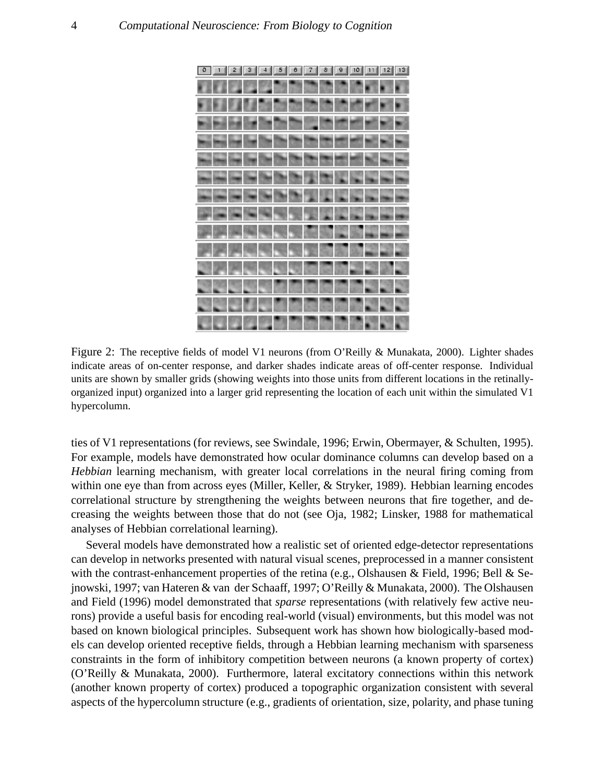

Figure 2: The receptive fields of model V1 neurons (from O'Reilly & Munakata, 2000). Lighter shades indicate areas of on-center response, and darker shades indicate areas of off-center response. Individual units are shown by smaller grids (showing weights into those units from different locations in the retinallyorganized input) organized into a larger grid representing the location of each unit within the simulated V1 hypercolumn.

ties of V1 representations (for reviews, see Swindale, 1996; Erwin, Obermayer, & Schulten, 1995). For example, models have demonstrated how ocular dominance columns can develop based on a *Hebbian* learning mechanism, with greater local correlations in the neural firing coming from within one eye than from across eyes (Miller, Keller, & Stryker, 1989). Hebbian learning encodes correlational structure by strengthening the weights between neurons that fire together, and decreasing the weights between those that do not (see Oja, 1982; Linsker, 1988 for mathematical analyses of Hebbian correlational learning).

Several models have demonstrated how a realistic set of oriented edge-detector representations can develop in networks presented with natural visual scenes, preprocessed in a manner consistent with the contrast-enhancement properties of the retina (e.g., Olshausen & Field, 1996; Bell & Sejnowski, 1997; van Hateren & van der Schaaff, 1997; O'Reilly & Munakata, 2000). The Olshausen and Field (1996) model demonstrated that *sparse* representations (with relatively few active neurons) provide a useful basis for encoding real-world (visual) environments, but this model was not based on known biological principles. Subsequent work has shown how biologically-based models can develop oriented receptive fields, through a Hebbian learning mechanism with sparseness constraints in the form of inhibitory competition between neurons (a known property of cortex) (O'Reilly & Munakata, 2000). Furthermore, lateral excitatory connections within this network (another known property of cortex) produced a topographic organization consistent with several aspects of the hypercolumn structure (e.g., gradients of orientation, size, polarity, and phase tuning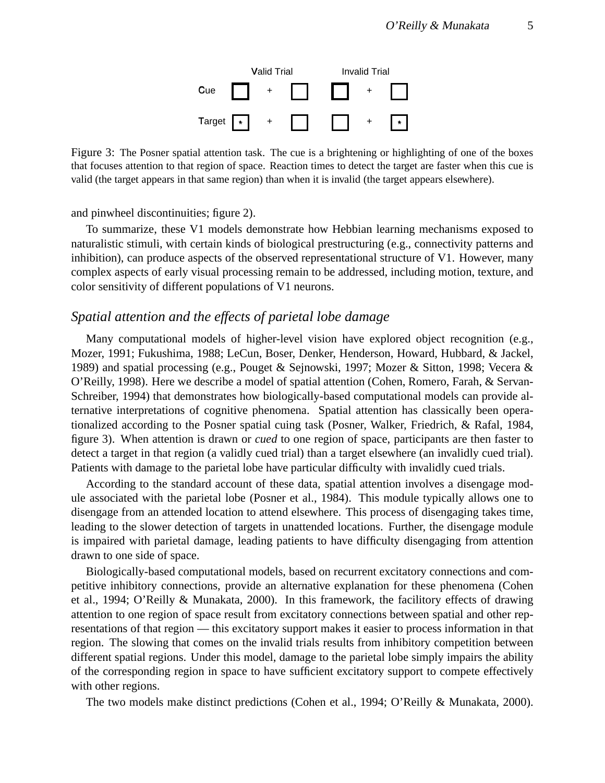

Figure 3: The Posner spatial attention task. The cue is a brightening or highlighting of one of the boxes that focuses attention to that region of space. Reaction times to detect the target are faster when this cue is valid (the target appears in that same region) than when it is invalid (the target appears elsewhere).

and pinwheel discontinuities; figure 2).

To summarize, these V1 models demonstrate how Hebbian learning mechanisms exposed to naturalistic stimuli, with certain kinds of biological prestructuring (e.g., connectivity patterns and inhibition), can produce aspects of the observed representational structure of V1. However, many complex aspects of early visual processing remain to be addressed, including motion, texture, and color sensitivity of different populations of V1 neurons.

### *Spatial attention and the effects of parietal lobe damage*

Many computational models of higher-level vision have explored object recognition (e.g., Mozer, 1991; Fukushima, 1988; LeCun, Boser, Denker, Henderson, Howard, Hubbard, & Jackel, 1989) and spatial processing (e.g., Pouget & Sejnowski, 1997; Mozer & Sitton, 1998; Vecera & O'Reilly, 1998). Here we describe a model of spatial attention (Cohen, Romero, Farah, & Servan-Schreiber, 1994) that demonstrates how biologically-based computational models can provide alternative interpretations of cognitive phenomena. Spatial attention has classically been operationalized according to the Posner spatial cuing task (Posner, Walker, Friedrich, & Rafal, 1984, figure 3). When attention is drawn or *cued* to one region of space, participants are then faster to detect a target in that region (a validly cued trial) than a target elsewhere (an invalidly cued trial). Patients with damage to the parietal lobe have particular difficulty with invalidly cued trials.

According to the standard account of these data, spatial attention involves a disengage module associated with the parietal lobe (Posner et al., 1984). This module typically allows one to disengage from an attended location to attend elsewhere. This process of disengaging takes time, leading to the slower detection of targets in unattended locations. Further, the disengage module is impaired with parietal damage, leading patients to have difficulty disengaging from attention drawn to one side of space.

Biologically-based computational models, based on recurrent excitatory connections and competitive inhibitory connections, provide an alternative explanation for these phenomena (Cohen et al., 1994; O'Reilly & Munakata, 2000). In this framework, the facilitory effects of drawing attention to one region of space result from excitatory connections between spatial and other representations of that region — this excitatory support makes it easier to process information in that region. The slowing that comes on the invalid trials results from inhibitory competition between different spatial regions. Under this model, damage to the parietal lobe simply impairs the ability of the corresponding region in space to have sufficient excitatory support to compete effectively with other regions.

The two models make distinct predictions (Cohen et al., 1994; O'Reilly & Munakata, 2000).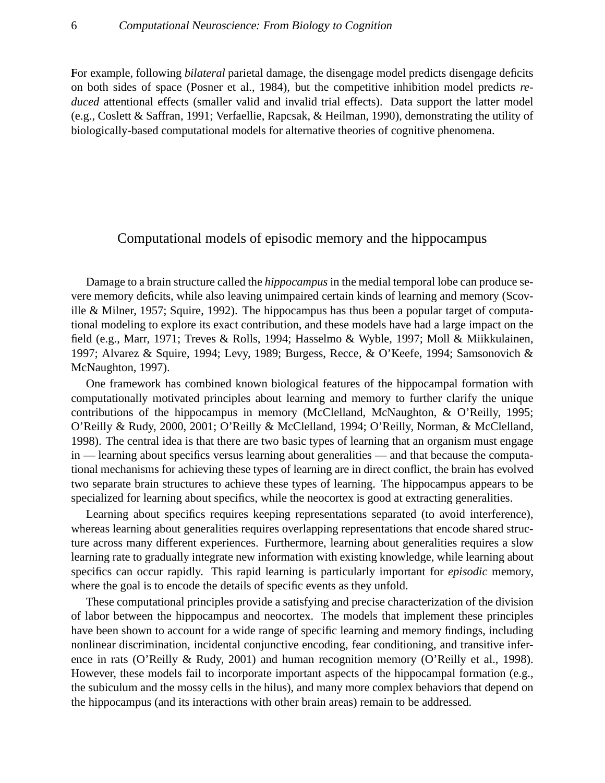F or example, following *bilateral* parietal damage, the disengage model predicts disengage deficits on both sides of space (Posner et al., 1984), but the competitive inhibition model predicts *reduced* attentional effects (smaller valid and invalid trial effects). Data support the latter model (e.g., Coslett & Saffran, 1991; Verfaellie, Rapcsak, & Heilman, 1990), demonstrating the utility of biologically-based computational models for alternative theories of cognitive phenomena.

### Computational models of episodic memory and the hippocampus

Damage to a brain structure called the *hippocampus* in the medial temporal lobe can produce severe memory deficits, while also leaving unimpaired certain kinds of learning and memory (Scoville & Milner, 1957; Squire, 1992). The hippocampus has thus been a popular target of computational modeling to explore its exact contribution, and these models have had a large impact on the field (e.g., Marr, 1971; Treves & Rolls, 1994; Hasselmo & Wyble, 1997; Moll & Miikkulainen, 1997; Alvarez & Squire, 1994; Levy, 1989; Burgess, Recce, & O'Keefe, 1994; Samsonovich & McNaughton, 1997).

One framework has combined known biological features of the hippocampal formation with computationally motivated principles about learning and memory to further clarify the unique contributions of the hippocampus in memory (McClelland, McNaughton, & O'Reilly, 1995; O'Reilly & Rudy, 2000, 2001; O'Reilly & McClelland, 1994; O'Reilly, Norman, & McClelland, 1998). The central idea is that there are two basic types of learning that an organism must engage in — learning about specifics versus learning about generalities — and that because the computational mechanisms for achieving these types of learning are in direct conflict, the brain has evolved two separate brain structures to achieve these types of learning. The hippocampus appears to be specialized for learning about specifics, while the neocortex is good at extracting generalities.

Learning about specifics requires keeping representations separated (to avoid interference), whereas learning about generalities requires overlapping representations that encode shared structure across many different experiences. Furthermore, learning about generalities requires a slow learning rate to gradually integrate new information with existing knowledge, while learning about specifics can occur rapidly. This rapid learning is particularly important for *episodic* memory, where the goal is to encode the details of specific events as they unfold.

These computational principles provide a satisfying and precise characterization of the division of labor between the hippocampus and neocortex. The models that implement these principles have been shown to account for a wide range of specific learning and memory findings, including nonlinear discrimination, incidental conjunctive encoding, fear conditioning, and transitive inference in rats (O'Reilly & Rudy, 2001) and human recognition memory (O'Reilly et al., 1998). However, these models fail to incorporate important aspects of the hippocampal formation (e.g., the subiculum and the mossy cells in the hilus), and many more complex behaviors that depend on the hippocampus (and its interactions with other brain areas) remain to be addressed.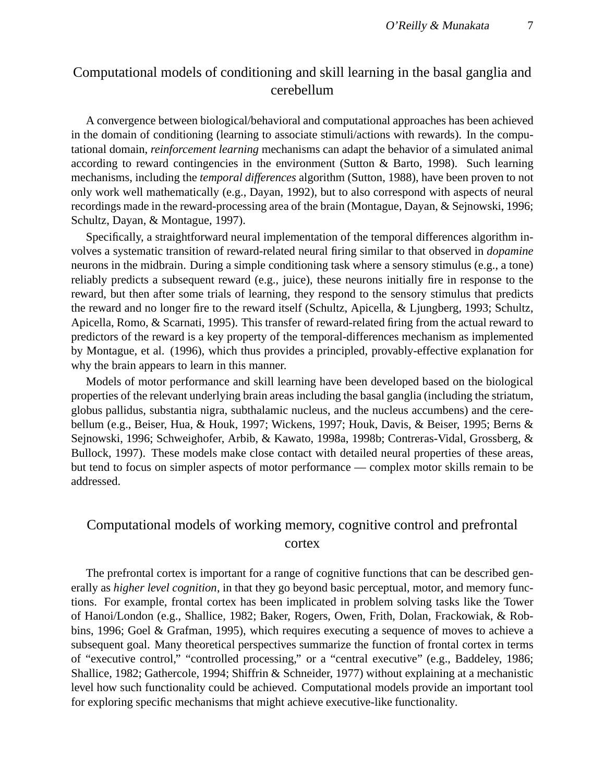# Computational models of conditioning and skill learning in the basal ganglia and cerebellum

A convergence between biological/behavioral and computational approaches has been achieved in the domain of conditioning (learning to associate stimuli/actions with rewards). In the computational domain, *reinforcement learning* mechanisms can adapt the behavior of a simulated animal according to reward contingencies in the environment (Sutton & Barto, 1998). Such learning mechanisms, including the *temporal differences* algorithm (Sutton, 1988), have been proven to not only work well mathematically (e.g., Dayan, 1992), but to also correspond with aspects of neural recordings made in the reward-processing area of the brain (Montague, Dayan, & Sejnowski, 1996; Schultz, Dayan, & Montague, 1997).

Specifically, a straightforward neural implementation of the temporal differences algorithm involves a systematic transition of reward-related neural firing similar to that observed in *dopamine* neurons in the midbrain. During a simple conditioning task where a sensory stimulus (e.g., a tone) reliably predicts a subsequent reward (e.g., juice), these neurons initially fire in response to the reward, but then after some trials of learning, they respond to the sensory stimulus that predicts the reward and no longer fire to the reward itself (Schultz, Apicella, & Ljungberg, 1993; Schultz, Apicella, Romo, & Scarnati, 1995). This transfer of reward-related firing from the actual reward to predictors of the reward is a key property of the temporal-differences mechanism as implemented by Montague, et al. (1996), which thus provides a principled, provably-effective explanation for why the brain appears to learn in this manner.

Models of motor performance and skill learning have been developed based on the biological properties of the relevant underlying brain areas including the basal ganglia (including the striatum, globus pallidus, substantia nigra, subthalamic nucleus, and the nucleus accumbens) and the cerebellum (e.g., Beiser, Hua, & Houk, 1997; Wickens, 1997; Houk, Davis, & Beiser, 1995; Berns & Sejnowski, 1996; Schweighofer, Arbib, & Kawato, 1998a, 1998b; Contreras-Vidal, Grossberg, & Bullock, 1997). These models make close contact with detailed neural properties of these areas, but tend to focus on simpler aspects of motor performance — complex motor skills remain to be addressed.

## Computational models of working memory, cognitive control and prefrontal cortex

The prefrontal cortex is important for a range of cognitive functions that can be described generally as *higher level cognition*, in that they go beyond basic perceptual, motor, and memory functions. For example, frontal cortex has been implicated in problem solving tasks like the Tower of Hanoi/London (e.g., Shallice, 1982; Baker, Rogers, Owen, Frith, Dolan, Frackowiak, & Robbins, 1996; Goel & Grafman, 1995), which requires executing a sequence of moves to achieve a subsequent goal. Many theoretical perspectives summarize the function of frontal cortex in terms of "executive control," "controlled processing," or a "central executive" (e.g., Baddeley, 1986; Shallice, 1982; Gathercole, 1994; Shiffrin & Schneider, 1977) without explaining at a mechanistic level how such functionality could be achieved. Computational models provide an important tool for exploring specific mechanisms that might achieve executive-like functionality.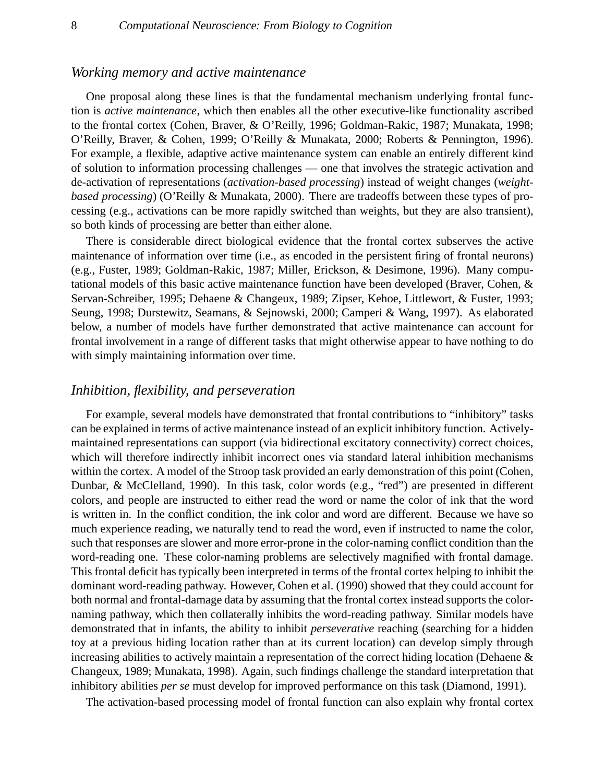### *Working memory and active maintenance*

One proposal along these lines is that the fundamental mechanism underlying frontal function is *active maintenance*, which then enables all the other executive-like functionality ascribed to the frontal cortex (Cohen, Braver, & O'Reilly, 1996; Goldman-Rakic, 1987; Munakata, 1998; O'Reilly, Braver, & Cohen, 1999; O'Reilly & Munakata, 2000; Roberts & Pennington, 1996). For example, a flexible, adaptive active maintenance system can enable an entirely different kind of solution to information processing challenges — one that involves the strategic activation and de-activation of representations (*activation-based processing*) instead of weight changes (*weightbased processing*) (O'Reilly & Munakata, 2000). There are tradeoffs between these types of processing (e.g., activations can be more rapidly switched than weights, but they are also transient), so both kinds of processing are better than either alone.

There is considerable direct biological evidence that the frontal cortex subserves the active maintenance of information over time (i.e., as encoded in the persistent firing of frontal neurons) (e.g., Fuster, 1989; Goldman-Rakic, 1987; Miller, Erickson, & Desimone, 1996). Many computational models of this basic active maintenance function have been developed (Braver, Cohen, & Servan-Schreiber, 1995; Dehaene & Changeux, 1989; Zipser, Kehoe, Littlewort, & Fuster, 1993; Seung, 1998; Durstewitz, Seamans, & Sejnowski, 2000; Camperi & Wang, 1997). As elaborated below, a number of models have further demonstrated that active maintenance can account for frontal involvement in a range of different tasks that might otherwise appear to have nothing to do with simply maintaining information over time.

#### *Inhibition, flexibility, and perseveration*

For example, several models have demonstrated that frontal contributions to "inhibitory" tasks can be explained in terms of active maintenance instead of an explicit inhibitory function. Activelymaintained representations can support (via bidirectional excitatory connectivity) correct choices, which will therefore indirectly inhibit incorrect ones via standard lateral inhibition mechanisms within the cortex. A model of the Stroop task provided an early demonstration of this point (Cohen, Dunbar, & McClelland, 1990). In this task, color words (e.g., "red") are presented in different colors, and people are instructed to either read the word or name the color of ink that the word is written in. In the conflict condition, the ink color and word are different. Because we have so much experience reading, we naturally tend to read the word, even if instructed to name the color, such that responses are slower and more error-prone in the color-naming conflict condition than the word-reading one. These color-naming problems are selectively magnified with frontal damage. This frontal deficit has typically been interpreted in terms of the frontal cortex helping to inhibit the dominant word-reading pathway. However, Cohen et al. (1990) showed that they could account for both normal and frontal-damage data by assuming that the frontal cortex instead supports the colornaming pathway, which then collaterally inhibits the word-reading pathway. Similar models have demonstrated that in infants, the ability to inhibit *perseverative* reaching (searching for a hidden toy at a previous hiding location rather than at its current location) can develop simply through increasing abilities to actively maintain a representation of the correct hiding location (Dehaene & Changeux, 1989; Munakata, 1998). Again, such findings challenge the standard interpretation that inhibitory abilities *per se* must develop for improved performance on this task (Diamond, 1991).

The activation-based processing model of frontal function can also explain why frontal cortex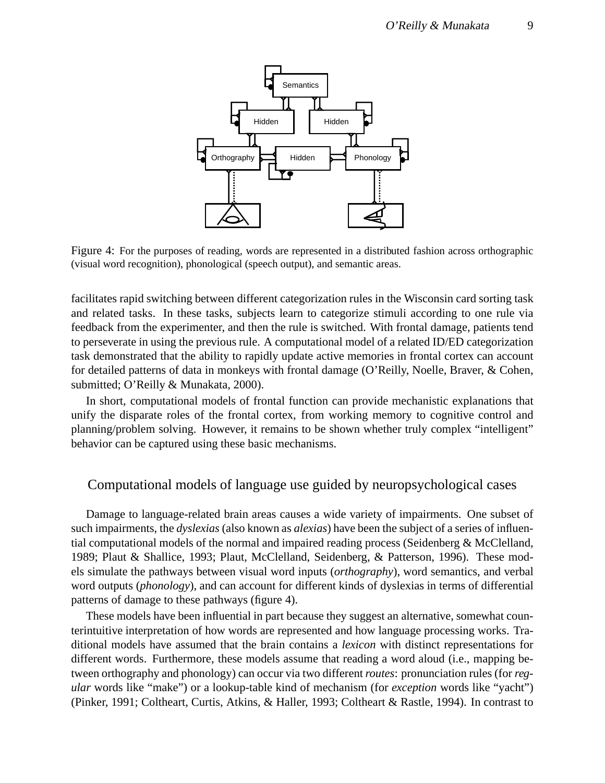

Figure 4: For the purposes of reading, words are represented in a distributed fashion across orthographic (visual word recognition), phonological (speech output), and semantic areas.

facilitates rapid switching between different categorization rules in the Wisconsin card sorting task and related tasks. In these tasks, subjects learn to categorize stimuli according to one rule via feedback from the experimenter, and then the rule is switched. With frontal damage, patients tend to perseverate in using the previous rule. A computational model of a related ID/ED categorization task demonstrated that the ability to rapidly update active memories in frontal cortex can account for detailed patterns of data in monkeys with frontal damage (O'Reilly, Noelle, Braver, & Cohen, submitted; O'Reilly & Munakata, 2000).

In short, computational models of frontal function can provide mechanistic explanations that unify the disparate roles of the frontal cortex, from working memory to cognitive control and planning/problem solving. However, it remains to be shown whether truly complex "intelligent" behavior can be captured using these basic mechanisms.

### Computational models of language use guided by neuropsychological cases

Damage to language-related brain areas causes a wide variety of impairments. One subset of such impairments, the *dyslexias* (also known as *alexias*) have been the subject of a series of influential computational models of the normal and impaired reading process (Seidenberg  $\&$  McClelland, 1989; Plaut & Shallice, 1993; Plaut, McClelland, Seidenberg, & Patterson, 1996). These models simulate the pathways between visual word inputs (*orthography*), word semantics, and verbal word outputs (*phonology*), and can account for different kinds of dyslexias in terms of differential patterns of damage to these pathways (figure 4).

These models have been influential in part because they suggest an alternative, somewhat counterintuitive interpretation of how words are represented and how language processing works. Traditional models have assumed that the brain contains a *lexicon* with distinct representations for different words. Furthermore, these models assume that reading a word aloud (i.e., mapping between orthography and phonology) can occur via two different *routes*: pronunciation rules (for *regular* words like "make") or a lookup-table kind of mechanism (for *exception* words like "yacht") (Pinker, 1991; Coltheart, Curtis, Atkins, & Haller, 1993; Coltheart & Rastle, 1994). In contrast to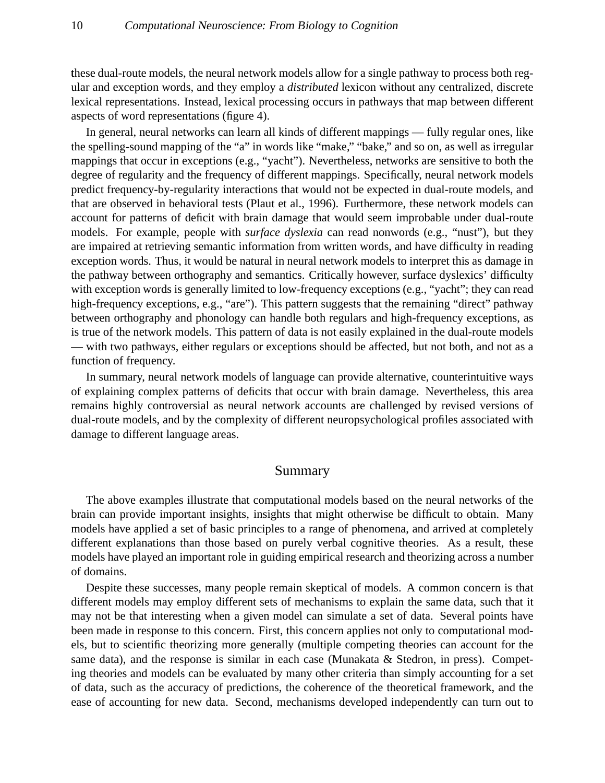these dual-route models, the neural network models allow for a single pathway to process both regular and exception words, and they employ a *distributed* lexicon without any centralized, discrete lexical representations. Instead, lexical processing occurs in pathways that map between different aspects of word representations (figure 4).

In general, neural networks can learn all kinds of different mappings — fully regular ones, like the spelling-sound mapping of the "a" in words like "make," "bake," and so on, as well as irregular mappings that occur in exceptions (e.g., "yacht"). Nevertheless, networks are sensitive to both the degree of regularity and the frequency of different mappings. Specifically, neural network models predict frequency-by-regularity interactions that would not be expected in dual-route models, and that are observed in behavioral tests (Plaut et al., 1996). Furthermore, these network models can account for patterns of deficit with brain damage that would seem improbable under dual-route models. For example, people with *surface dyslexia* can read nonwords (e.g., "nust"), but they are impaired at retrieving semantic information from written words, and have difficulty in reading exception words. Thus, it would be natural in neural network models to interpret this as damage in the pathway between orthography and semantics. Critically however, surface dyslexics' difficulty with exception words is generally limited to low-frequency exceptions (e.g., "yacht"; they can read high-frequency exceptions, e.g., "are"). This pattern suggests that the remaining "direct" pathway between orthography and phonology can handle both regulars and high-frequency exceptions, as is true of the network models. This pattern of data is not easily explained in the dual-route models — with two pathways, either regulars or exceptions should be affected, but not both, and not as a function of frequency.

In summary, neural network models of language can provide alternative, counterintuitive ways of explaining complex patterns of deficits that occur with brain damage. Nevertheless, this area remains highly controversial as neural network accounts are challenged by revised versions of dual-route models, and by the complexity of different neuropsychological profiles associated with damage to different language areas.

#### Summary

The above examples illustrate that computational models based on the neural networks of the brain can provide important insights, insights that might otherwise be difficult to obtain. Many models have applied a set of basic principles to a range of phenomena, and arrived at completely different explanations than those based on purely verbal cognitive theories. As a result, these models have played an important role in guiding empirical research and theorizing across a number of domains.

Despite these successes, many people remain skeptical of models. A common concern is that different models may employ different sets of mechanisms to explain the same data, such that it may not be that interesting when a given model can simulate a set of data. Several points have been made in response to this concern. First, this concern applies not only to computational models, but to scientific theorizing more generally (multiple competing theories can account for the same data), and the response is similar in each case (Munakata & Stedron, in press). Competing theories and models can be evaluated by many other criteria than simply accounting for a set of data, such as the accuracy of predictions, the coherence of the theoretical framework, and the ease of accounting for new data. Second, mechanisms developed independently can turn out to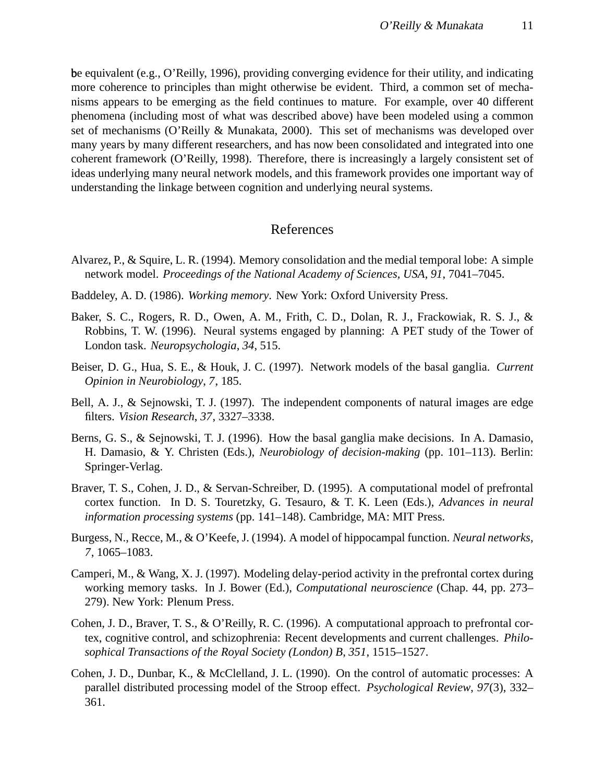be equivalent (e.g., O'Reilly, 1996), providing converging evidence for their utility, and indicating more coherence to principles than might otherwise be evident. Third, a common set of mechanisms appears to be emerging as the field continues to mature. For example, over 40 different phenomena (including most of what was described above) have been modeled using a common set of mechanisms (O'Reilly & Munakata, 2000). This set of mechanisms was developed over many years by many different researchers, and has now been consolidated and integrated into one coherent framework (O'Reilly, 1998). Therefore, there is increasingly a largely consistent set of ideas underlying many neural network models, and this framework provides one important way of understanding the linkage between cognition and underlying neural systems.

### References

- Alvarez, P., & Squire, L. R. (1994). Memory consolidation and the medial temporal lobe: A simple network model. *Proceedings of the National Academy of Sciences, USA*, *91*, 7041–7045.
- Baddeley, A. D. (1986). *Working memory*. New York: Oxford University Press.
- Baker, S. C., Rogers, R. D., Owen, A. M., Frith, C. D., Dolan, R. J., Frackowiak, R. S. J., & Robbins, T. W. (1996). Neural systems engaged by planning: A PET study of the Tower of London task. *Neuropsychologia*, *34*, 515.
- Beiser, D. G., Hua, S. E., & Houk, J. C. (1997). Network models of the basal ganglia. *Current Opinion in Neurobiology*, *7*, 185.
- Bell, A. J., & Sejnowski, T. J. (1997). The independent components of natural images are edge filters. *Vision Research*, *37*, 3327–3338.
- Berns, G. S., & Sejnowski, T. J. (1996). How the basal ganglia make decisions. In A. Damasio, H. Damasio, & Y. Christen (Eds.), *Neurobiology of decision-making* (pp. 101–113). Berlin: Springer-Verlag.
- Braver, T. S., Cohen, J. D., & Servan-Schreiber, D. (1995). A computational model of prefrontal cortex function. In D. S. Touretzky, G. Tesauro, & T. K. Leen (Eds.), *Advances in neural information processing systems* (pp. 141–148). Cambridge, MA: MIT Press.
- Burgess, N., Recce, M., & O'Keefe, J. (1994). A model of hippocampal function. *Neural networks*, *7*, 1065–1083.
- Camperi, M., & Wang, X. J. (1997). Modeling delay-period activity in the prefrontal cortex during working memory tasks. In J. Bower (Ed.), *Computational neuroscience* (Chap. 44, pp. 273– 279). New York: Plenum Press.
- Cohen, J. D., Braver, T. S., & O'Reilly, R. C. (1996). A computational approach to prefrontal cortex, cognitive control, and schizophrenia: Recent developments and current challenges. *Philosophical Transactions of the Royal Society (London) B*, *351*, 1515–1527.
- Cohen, J. D., Dunbar, K., & McClelland, J. L. (1990). On the control of automatic processes: A parallel distributed processing model of the Stroop effect. *Psychological Review*, *97*(3), 332– 361.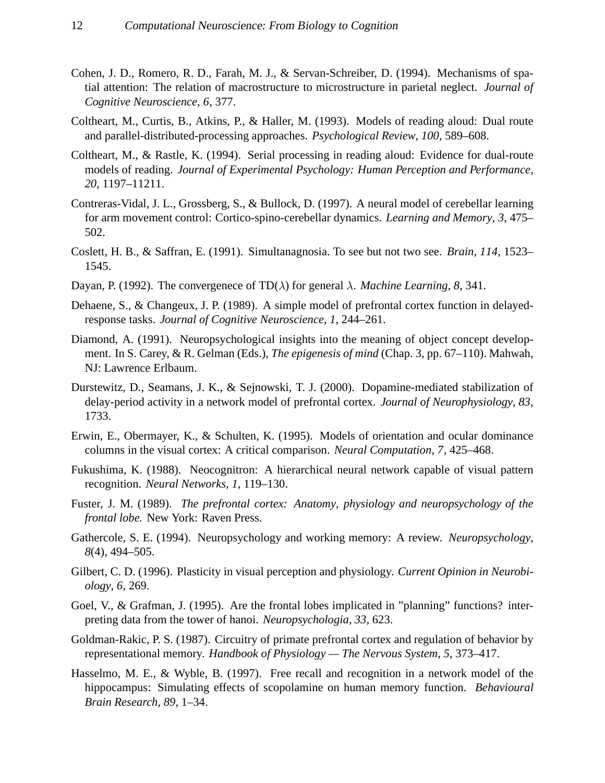- Cohen, J. D., Romero, R. D., Farah, M. J., & Servan-Schreiber, D. (1994). Mechanisms of spatial attention: The relation of macrostructure to microstructure in parietal neglect. *Journal of Cognitive Neuroscience*, *6*, 377.
- Coltheart, M., Curtis, B., Atkins, P., & Haller, M. (1993). Models of reading aloud: Dual route and parallel-distributed-processing approaches. *Psychological Review*, *100*, 589–608.
- Coltheart, M., & Rastle, K. (1994). Serial processing in reading aloud: Evidence for dual-route models of reading. *Journal of Experimental Psychology: Human Perception and Performance*, *20*, 1197–11211.
- Contreras-Vidal, J. L., Grossberg, S., & Bullock, D. (1997). A neural model of cerebellar learning for arm movement control: Cortico-spino-cerebellar dynamics. *Learning and Memory*, *3*, 475– 502.
- Coslett, H. B., & Saffran, E. (1991). Simultanagnosia. To see but not two see. *Brain*, *114*, 1523– 1545.
- Dayan, P. (1992). The convergenece of TD( $\lambda$ ) for general  $\lambda$ . *Machine Learning*, 8, 341.
- Dehaene, S., & Changeux, J. P. (1989). A simple model of prefrontal cortex function in delayedresponse tasks. *Journal of Cognitive Neuroscience*, *1*, 244–261.
- Diamond, A. (1991). Neuropsychological insights into the meaning of object concept development. In S. Carey, & R. Gelman (Eds.), *The epigenesis of mind* (Chap. 3, pp. 67–110). Mahwah, NJ: Lawrence Erlbaum.
- Durstewitz, D., Seamans, J. K., & Sejnowski, T. J. (2000). Dopamine-mediated stabilization of delay-period activity in a network model of prefrontal cortex. *Journal of Neurophysiology*, *83*, 1733.
- Erwin, E., Obermayer, K., & Schulten, K. (1995). Models of orientation and ocular dominance columns in the visual cortex: A critical comparison. *Neural Computation*, *7*, 425–468.
- Fukushima, K. (1988). Neocognitron: A hierarchical neural network capable of visual pattern recognition. *Neural Networks*, *1*, 119–130.
- Fuster, J. M. (1989). *The prefrontal cortex: Anatomy, physiology and neuropsychology of the frontal lobe.* New York: Raven Press.
- Gathercole, S. E. (1994). Neuropsychology and working memory: A review. *Neuropsychology*, *8*(4), 494–505.
- Gilbert, C. D. (1996). Plasticity in visual perception and physiology. *Current Opinion in Neurobiology*, *6*, 269.
- Goel, V., & Grafman, J. (1995). Are the frontal lobes implicated in "planning" functions? interpreting data from the tower of hanoi. *Neuropsychologia*, *33*, 623.
- Goldman-Rakic, P. S. (1987). Circuitry of primate prefrontal cortex and regulation of behavior by representational memory. *Handbook of Physiology — The Nervous System*, *5*, 373–417.
- Hasselmo, M. E., & Wyble, B. (1997). Free recall and recognition in a network model of the hippocampus: Simulating effects of scopolamine on human memory function. *Behavioural Brain Research*, *89*, 1–34.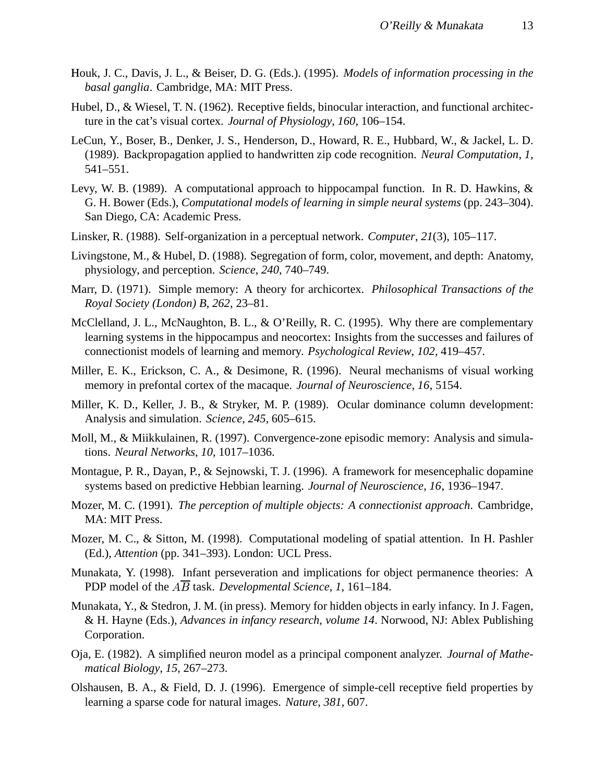- Houk, J. C., Davis, J. L., & Beiser, D. G. (Eds.). (1995). *Models of information processing in the basal ganglia*. Cambridge, MA: MIT Press.
- Hubel, D., & Wiesel, T. N. (1962). Receptive fields, binocular interaction, and functional architecture in the cat's visual cortex. *Journal of Physiology*, *160*, 106–154.
- LeCun, Y., Boser, B., Denker, J. S., Henderson, D., Howard, R. E., Hubbard, W., & Jackel, L. D. (1989). Backpropagation applied to handwritten zip code recognition. *Neural Computation*, *1*, 541–551.
- Levy, W. B. (1989). A computational approach to hippocampal function. In R. D. Hawkins, & G. H. Bower (Eds.), *Computational models of learning in simple neural systems* (pp. 243–304). San Diego, CA: Academic Press.
- Linsker, R. (1988). Self-organization in a perceptual network. *Computer*, *21*(3), 105–117.
- Livingstone, M., & Hubel, D. (1988). Segregation of form, color, movement, and depth: Anatomy, physiology, and perception. *Science*, *240*, 740–749.
- Marr, D. (1971). Simple memory: A theory for archicortex. *Philosophical Transactions of the Royal Society (London) B*, *262*, 23–81.
- McClelland, J. L., McNaughton, B. L., & O'Reilly, R. C. (1995). Why there are complementary learning systems in the hippocampus and neocortex: Insights from the successes and failures of connectionist models of learning and memory. *Psychological Review*, *102*, 419–457.
- Miller, E. K., Erickson, C. A., & Desimone, R. (1996). Neural mechanisms of visual working memory in prefontal cortex of the macaque. *Journal of Neuroscience*, *16*, 5154.
- Miller, K. D., Keller, J. B., & Stryker, M. P. (1989). Ocular dominance column development: Analysis and simulation. *Science*, *245*, 605–615.
- Moll, M., & Miikkulainen, R. (1997). Convergence-zone episodic memory: Analysis and simulations. *Neural Networks*, *10*, 1017–1036.
- Montague, P. R., Dayan, P., & Sejnowski, T. J. (1996). A framework for mesencephalic dopamine systems based on predictive Hebbian learning. *Journal of Neuroscience*, *16*, 1936–1947.
- Mozer, M. C. (1991). *The perception of multiple objects: A connectionist approach*. Cambridge, MA: MIT Press.
- Mozer, M. C., & Sitton, M. (1998). Computational modeling of spatial attention. In H. Pashler (Ed.), *Attention* (pp. 341–393). London: UCL Press.
- Munakata, Y. (1998). Infant perseveration and implications for object permanence theories: A PDP model of the  $\overline{AB}$  task. *Developmental Science*, 1, 161–184.
- Munakata, Y., & Stedron, J. M. (in press). Memory for hidden objects in early infancy. In J. Fagen, & H. Hayne (Eds.), *Advances in infancy research, volume 14*. Norwood, NJ: Ablex Publishing Corporation.
- Oja, E. (1982). A simplified neuron model as a principal component analyzer. *Journal of Mathematical Biology*, *15*, 267–273.
- Olshausen, B. A., & Field, D. J. (1996). Emergence of simple-cell receptive field properties by learning a sparse code for natural images. *Nature*, *381*, 607.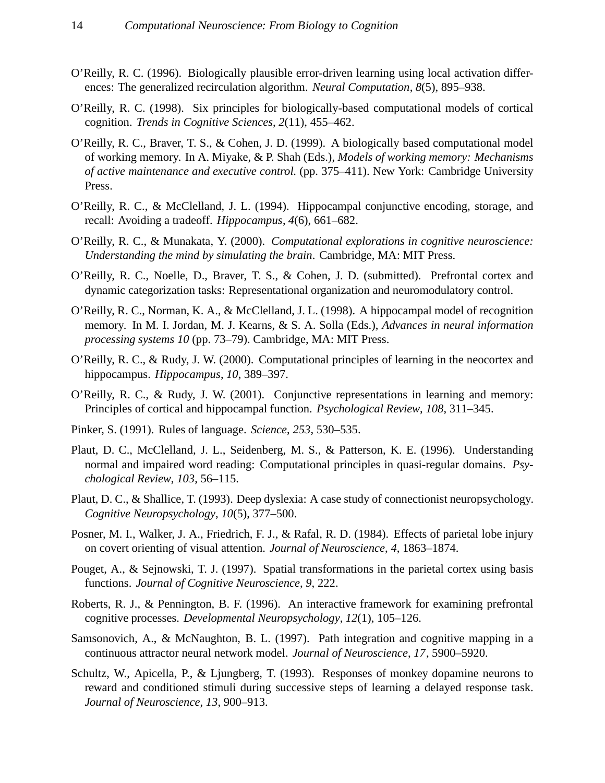- O'Reilly, R. C. (1996). Biologically plausible error-driven learning using local activation differences: The generalized recirculation algorithm. *Neural Computation*, *8*(5), 895–938.
- O'Reilly, R. C. (1998). Six principles for biologically-based computational models of cortical cognition. *Trends in Cognitive Sciences*, *2*(11), 455–462.
- O'Reilly, R. C., Braver, T. S., & Cohen, J. D. (1999). A biologically based computational model of working memory. In A. Miyake, & P. Shah (Eds.), *Models of working memory: Mechanisms of active maintenance and executive control.* (pp. 375–411). New York: Cambridge University Press.
- O'Reilly, R. C., & McClelland, J. L. (1994). Hippocampal conjunctive encoding, storage, and recall: Avoiding a tradeoff. *Hippocampus*, *4*(6), 661–682.
- O'Reilly, R. C., & Munakata, Y. (2000). *Computational explorations in cognitive neuroscience: Understanding the mind by simulating the brain*. Cambridge, MA: MIT Press.
- O'Reilly, R. C., Noelle, D., Braver, T. S., & Cohen, J. D. (submitted). Prefrontal cortex and dynamic categorization tasks: Representational organization and neuromodulatory control.
- O'Reilly, R. C., Norman, K. A., & McClelland, J. L. (1998). A hippocampal model of recognition memory. In M. I. Jordan, M. J. Kearns, & S. A. Solla (Eds.), *Advances in neural information processing systems 10* (pp. 73–79). Cambridge, MA: MIT Press.
- O'Reilly, R. C., & Rudy, J. W. (2000). Computational principles of learning in the neocortex and hippocampus. *Hippocampus*, *10*, 389–397.
- O'Reilly, R. C., & Rudy, J. W. (2001). Conjunctive representations in learning and memory: Principles of cortical and hippocampal function. *Psychological Review*, *108*, 311–345.
- Pinker, S. (1991). Rules of language. *Science*, *253*, 530–535.
- Plaut, D. C., McClelland, J. L., Seidenberg, M. S., & Patterson, K. E. (1996). Understanding normal and impaired word reading: Computational principles in quasi-regular domains. *Psychological Review*, *103*, 56–115.
- Plaut, D. C., & Shallice, T. (1993). Deep dyslexia: A case study of connectionist neuropsychology. *Cognitive Neuropsychology*, *10*(5), 377–500.
- Posner, M. I., Walker, J. A., Friedrich, F. J., & Rafal, R. D. (1984). Effects of parietal lobe injury on covert orienting of visual attention. *Journal of Neuroscience*, *4*, 1863–1874.
- Pouget, A., & Sejnowski, T. J. (1997). Spatial transformations in the parietal cortex using basis functions. *Journal of Cognitive Neuroscience*, *9*, 222.
- Roberts, R. J., & Pennington, B. F. (1996). An interactive framework for examining prefrontal cognitive processes. *Developmental Neuropsychology*, *12*(1), 105–126.
- Samsonovich, A., & McNaughton, B. L. (1997). Path integration and cognitive mapping in a continuous attractor neural network model. *Journal of Neuroscience*, *17*, 5900–5920.
- Schultz, W., Apicella, P., & Ljungberg, T. (1993). Responses of monkey dopamine neurons to reward and conditioned stimuli during successive steps of learning a delayed response task. *Journal of Neuroscience*, *13*, 900–913.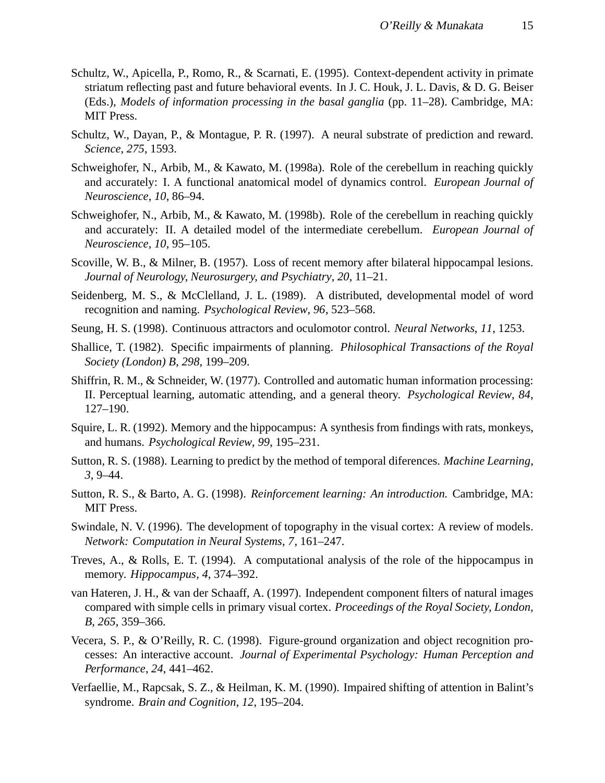- Schultz, W., Apicella, P., Romo, R., & Scarnati, E. (1995). Context-dependent activity in primate striatum reflecting past and future behavioral events. In J. C. Houk, J. L. Davis, & D. G. Beiser (Eds.), *Models of information processing in the basal ganglia* (pp. 11–28). Cambridge, MA: MIT Press.
- Schultz, W., Dayan, P., & Montague, P. R. (1997). A neural substrate of prediction and reward. *Science*, *275*, 1593.
- Schweighofer, N., Arbib, M., & Kawato, M. (1998a). Role of the cerebellum in reaching quickly and accurately: I. A functional anatomical model of dynamics control. *European Journal of Neuroscience*, *10*, 86–94.
- Schweighofer, N., Arbib, M., & Kawato, M. (1998b). Role of the cerebellum in reaching quickly and accurately: II. A detailed model of the intermediate cerebellum. *European Journal of Neuroscience*, *10*, 95–105.
- Scoville, W. B., & Milner, B. (1957). Loss of recent memory after bilateral hippocampal lesions. *Journal of Neurology, Neurosurgery, and Psychiatry*, *20*, 11–21.
- Seidenberg, M. S., & McClelland, J. L. (1989). A distributed, developmental model of word recognition and naming. *Psychological Review*, *96*, 523–568.
- Seung, H. S. (1998). Continuous attractors and oculomotor control. *Neural Networks*, *11*, 1253.
- Shallice, T. (1982). Specific impairments of planning. *Philosophical Transactions of the Royal Society (London) B*, *298*, 199–209.
- Shiffrin, R. M., & Schneider, W. (1977). Controlled and automatic human information processing: II. Perceptual learning, automatic attending, and a general theory. *Psychological Review*, *84*, 127–190.
- Squire, L. R. (1992). Memory and the hippocampus: A synthesis from findings with rats, monkeys, and humans. *Psychological Review*, *99*, 195–231.
- Sutton, R. S. (1988). Learning to predict by the method of temporal diferences. *Machine Learning*, *3*, 9–44.
- Sutton, R. S., & Barto, A. G. (1998). *Reinforcement learning: An introduction.* Cambridge, MA: MIT Press.
- Swindale, N. V. (1996). The development of topography in the visual cortex: A review of models. *Network: Computation in Neural Systems*, *7*, 161–247.
- Treves, A., & Rolls, E. T. (1994). A computational analysis of the role of the hippocampus in memory. *Hippocampus*, *4*, 374–392.
- van Hateren, J. H., & van der Schaaff, A. (1997). Independent component filters of natural images compared with simple cells in primary visual cortex. *Proceedings of the Royal Society, London, B*, *265*, 359–366.
- Vecera, S. P., & O'Reilly, R. C. (1998). Figure-ground organization and object recognition processes: An interactive account. *Journal of Experimental Psychology: Human Perception and Performance*, *24*, 441–462.
- Verfaellie, M., Rapcsak, S. Z., & Heilman, K. M. (1990). Impaired shifting of attention in Balint's syndrome. *Brain and Cognition*, *12*, 195–204.